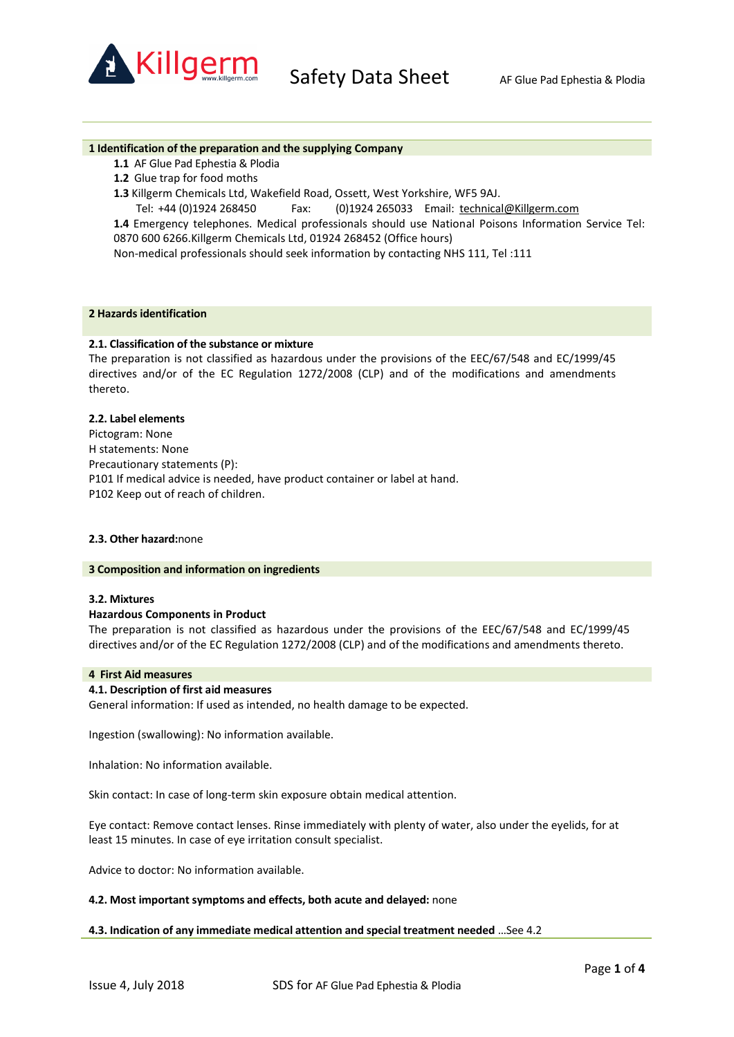

#### **1 Identification of the preparation and the supplying Company**

- **1.1** AF Glue Pad Ephestia & Plodia
- **1.2** Glue trap for food moths
- **1.3** Killgerm Chemicals Ltd, Wakefield Road, Ossett, West Yorkshire, WF5 9AJ.
	- Tel: +44 (0)1924 268450 Fax: (0)1924 265033 Email: technical@Killgerm.com

**1.4** Emergency telephones. Medical professionals should use National Poisons Information Service Tel: 0870 600 6266.Killgerm Chemicals Ltd, 01924 268452 (Office hours)

Non-medical professionals should seek information by contacting NHS 111, Tel :111

## **2 Hazards identification**

# **2.1. Classification of the substance or mixture**

The preparation is not classified as hazardous under the provisions of the EEC/67/548 and EC/1999/45 directives and/or of the EC Regulation 1272/2008 (CLP) and of the modifications and amendments thereto.

#### **2.2. Label elements**

Pictogram: None H statements: None Precautionary statements (P): P101 If medical advice is needed, have product container or label at hand. P102 Keep out of reach of children.

#### **2.3. Other hazard:**none

#### **3 Composition and information on ingredients**

#### **3.2. Mixtures**

#### **Hazardous Components in Product**

The preparation is not classified as hazardous under the provisions of the EEC/67/548 and EC/1999/45 directives and/or of the EC Regulation 1272/2008 (CLP) and of the modifications and amendments thereto.

## **4 First Aid measures**

## **4.1. Description of first aid measures**

General information: If used as intended, no health damage to be expected.

Ingestion (swallowing): No information available.

Inhalation: No information available.

Skin contact: In case of long-term skin exposure obtain medical attention.

Eye contact: Remove contact lenses. Rinse immediately with plenty of water, also under the eyelids, for at least 15 minutes. In case of eye irritation consult specialist.

Advice to doctor: No information available.

## **4.2. Most important symptoms and effects, both acute and delayed:** none

## **4.3. Indication of any immediate medical attention and special treatment needed** …See 4.2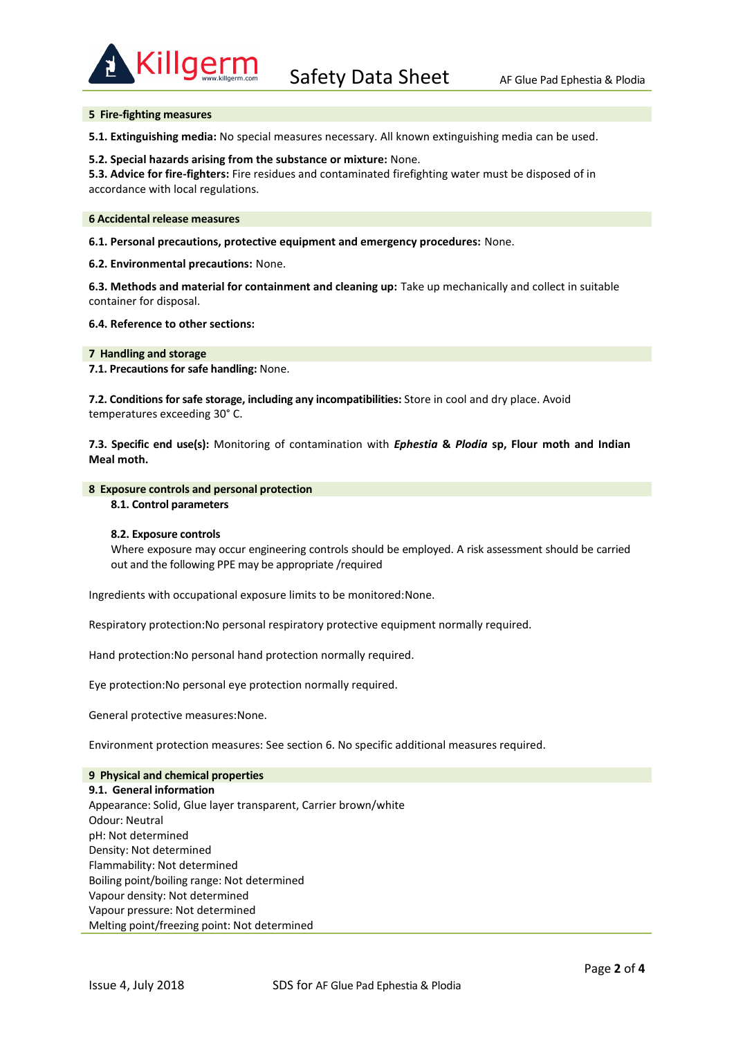

## **5 Fire-fighting measures**

**5.1. Extinguishing media:** No special measures necessary. All known extinguishing media can be used.

#### **5.2. Special hazards arising from the substance or mixture:** None.

**5.3. Advice for fire-fighters:** Fire residues and contaminated firefighting water must be disposed of in accordance with local regulations.

#### **6 Accidental release measures**

**6.1. Personal precautions, protective equipment and emergency procedures:** None.

**6.2. Environmental precautions:** None.

**6.3. Methods and material for containment and cleaning up:** Take up mechanically and collect in suitable container for disposal.

**6.4. Reference to other sections:**

**7 Handling and storage**

**7.1. Precautions for safe handling:** None.

**7.2. Conditions for safe storage, including any incompatibilities:** Store in cool and dry place. Avoid temperatures exceeding 30° C.

**7.3. Specific end use(s):** Monitoring of contamination with *Ephestia* **&** *Plodia* **sp, Flour moth and Indian Meal moth.**

#### **8 Exposure controls and personal protection**

## **8.1. Control parameters**

## **8.2. Exposure controls**

Where exposure may occur engineering controls should be employed. A risk assessment should be carried out and the following PPE may be appropriate /required

Ingredients with occupational exposure limits to be monitored:None.

Respiratory protection:No personal respiratory protective equipment normally required.

Hand protection:No personal hand protection normally required.

Eye protection:No personal eye protection normally required.

General protective measures:None.

Environment protection measures: See section 6. No specific additional measures required.

## **9 Physical and chemical properties**

**9.1. General information** Appearance: Solid, Glue layer transparent, Carrier brown/white Odour: Neutral pH: Not determined Density: Not determined Flammability: Not determined Boiling point/boiling range: Not determined Vapour density: Not determined Vapour pressure: Not determined Melting point/freezing point: Not determined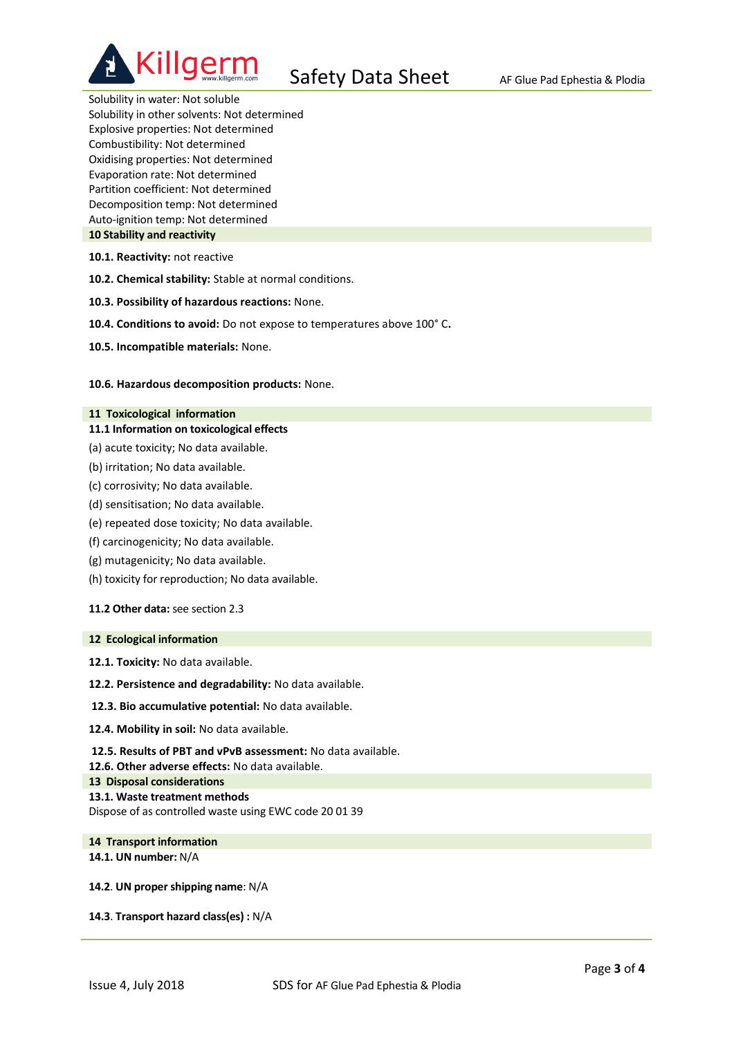

Solubility in water: Not soluble Solubility in other solvents: Not determined Explosive properties: Not determined Combustibility: Not determined Oxidising properties: Not determined Evaporation rate: Not determined Partition coefficient: Not determined Decomposition temp: Not determined Auto-ignition temp: Not determined **10 Stability and reactivity**

**10.1. Reactivity:** not reactive

**10.2. Chemical stability:** Stable at normal conditions.

- **10.3. Possibility of hazardous reactions:** None.
- **10.4. Conditions to avoid:** Do not expose to temperatures above 100° C**.**
- **10.5. Incompatible materials:** None.

#### **10.6. Hazardous decomposition products:** None.

#### **11 Toxicological information**

- **11.1 Information on toxicological effects**
- (a) acute toxicity; No data available.
- (b) irritation; No data available.
- (c) corrosivity; No data available.
- (d) sensitisation; No data available.
- (e) repeated dose toxicity; No data available.
- (f) carcinogenicity; No data available.
- (g) mutagenicity; No data available.
- (h) toxicity for reproduction; No data available.

**11.2 Other data:** see section 2.3

## **12 Ecological information**

**12.1. Toxicity:** No data available.

- **12.2. Persistence and degradability:** No data available.
- **12.3. Bio accumulative potential:** No data available.
- **12.4. Mobility in soil:** No data available.
- **12.5. Results of PBT and vPvB assessment:** No data available.

- **13 Disposal considerations**
- **13.1. Waste treatment methods**

Dispose of as controlled waste using EWC code 20 01 39

## **14 Transport information 14.1. UN number:** N/A

**14.2**. **UN proper shipping name**: N/A

**14.3**. **Transport hazard class(es) :** N/A

**<sup>12.6.</sup> Other adverse effects:** No data available.